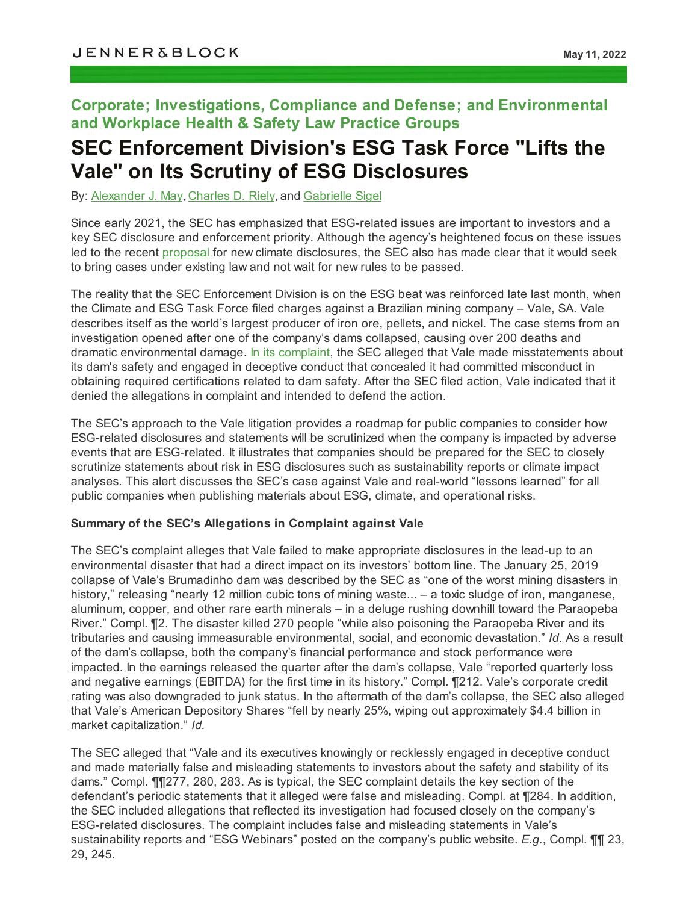# **Corporate; Investigations, Compliance and Defense; and Environmental and Workplace Health & Safety Law Practice Groups**

# **SEC Enforcement Division's ESG Task Force "Lifts the Vale" on Its Scrutiny of ESG Disclosures**

By: [Alexander](https://jenner.com/people/AlexanderMay) J. May, [Charles](https://jenner.com/people/CharlesRiely) D. Riely, and [Gabrielle](https://jenner.com/people/GabrielleSigel) Sigel

Since early 2021, the SEC has emphasized that ESG-related issues are important to investors and a key SEC disclosure and enforcement priority. Although the agency's heightened focus on these issues led to the recent [proposal](https://jenner.com/library/posts/21690) for new climate disclosures, the SEC also has made clear that it would seek to bring cases under existing law and not wait for new rules to be passed.

The reality that the SEC Enforcement Division is on the ESG beat was reinforced late last month, when the Climate and ESG Task Force filed charges against a Brazilian mining company – Vale, SA. Vale describes itself as the world's largest producer of iron ore, pellets, and nickel. The case stems from an investigation opened after one of the company's dams collapsed, causing over 200 deaths and dramatic environmental damage. In its [complaint,](https://www.sec.gov/litigation/complaints/2022/comp-pr2022-72.pdf) the SEC alleged that Vale made misstatements about its dam's safety and engaged in deceptive conduct that concealed it had committed misconduct in obtaining required certifications related to dam safety. After the SEC filed action, Vale indicated that it denied the allegations in complaint and intended to defend the action.

The SEC's approach to the Vale litigation provides a roadmap for public companies to consider how ESG-related disclosures and statements will be scrutinized when the company is impacted by adverse events that are ESG-related. It illustrates that companies should be prepared for the SEC to closely scrutinize statements about risk in ESG disclosures such as sustainability reports or climate impact analyses. This alert discusses the SEC's case against Vale and real-world "lessons learned" for all public companies when publishing materials about ESG, climate, and operational risks.

#### **Summary of the SEC's Allegations in Complaint against Vale**

The SEC's complaint alleges that Vale failed to make appropriate disclosures in the lead-up to an environmental disaster that had a direct impact on its investors' bottom line. The January 25, 2019 collapse of Vale's Brumadinho dam was described by the SEC as "one of the worst mining disasters in history," releasing "nearly 12 million cubic tons of mining waste... – a toxic sludge of iron, manganese, aluminum, copper, and other rare earth minerals – in a deluge rushing downhill toward the Paraopeba River." Compl. ¶2. The disaster killed 270 people "while also poisoning the Paraopeba River and its tributaries and causing immeasurable environmental, social, and economic devastation." *Id.* As a result of the dam's collapse, both the company's financial performance and stock performance were impacted. In the earnings released the quarter after the dam's collapse, Vale "reported quarterly loss and negative earnings (EBITDA) for the first time in its history." Compl. ¶212. Vale's corporate credit rating was also downgraded to junk status. In the aftermath of the dam's collapse, the SEC also alleged that Vale's American Depository Shares "fell by nearly 25%, wiping out approximately \$4.4 billion in market capitalization." *Id.*

The SEC alleged that "Vale and its executives knowingly or recklessly engaged in deceptive conduct and made materially false and misleading statements to investors about the safety and stability of its dams." Compl. ¶¶277, 280, 283. As is typical, the SEC complaint details the key section of the defendant's periodic statements that it alleged were false and misleading. Compl. at ¶284. In addition, the SEC included allegations that reflected its investigation had focused closely on the company's ESG-related disclosures. The complaint includes false and misleading statements in Vale's sustainability reports and "ESG Webinars" posted on the company's public website. *E.g.*, Compl. ¶¶ 23, 29, 245.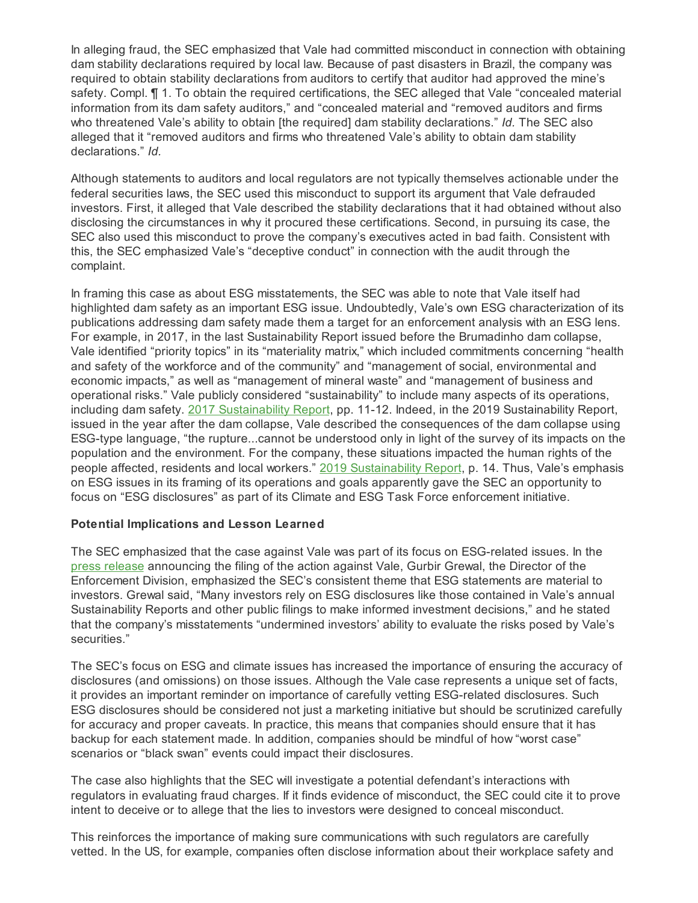In alleging fraud, the SEC emphasized that Vale had committed misconduct in connection with obtaining dam stability declarations required by local law. Because of past disasters in Brazil, the company was required to obtain stability declarations from auditors to certify that auditor had approved the mine's safety. Compl. ¶ 1. To obtain the required certifications, the SEC alleged that Vale "concealed material information from its dam safety auditors," and "concealed material and "removed auditors and firms who threatened Vale's ability to obtain [the required] dam stability declarations." *Id.* The SEC also alleged that it "removed auditors and firms who threatened Vale's ability to obtain dam stability declarations." *Id.*

Although statements to auditors and local regulators are not typically themselves actionable under the federal securities laws, the SEC used this misconduct to support its argument that Vale defrauded investors. First, it alleged that Vale described the stability declarations that it had obtained without also disclosing the circumstances in why it procured these certifications. Second, in pursuing its case, the SEC also used this misconduct to prove the company's executives acted in bad faith. Consistent with this, the SEC emphasized Vale's "deceptive conduct" in connection with the audit through the complaint.

In framing this case as about ESG misstatements, the SEC was able to note that Vale itself had highlighted dam safety as an important ESG issue. Undoubtedly, Vale's own ESG characterization of its publications addressing dam safety made them a target for an enforcement analysis with an ESG lens. For example, in 2017, in the last Sustainability Report issued before the Brumadinho dam collapse, Vale identified "priority topics" in its "materiality matrix," which included commitments concerning "health and safety of the workforce and of the community" and "management of social, environmental and economic impacts," as well as "management of mineral waste" and "management of business and operational risks." Vale publicly considered "sustainability" to include many aspects of its operations, including dam safety. 2017 [Sustainability](http://www.vale.com/Style Library/RelatorioSustentabilidade17/EN/VALE_SustainabilityReport_2017.pdf) Report, pp. 11-12. Indeed, in the 2019 Sustainability Report, issued in the year after the dam collapse, Vale described the consequences of the dam collapse using ESG-type language, "the rupture...cannot be understood only in light of the survey of its impacts on the population and the environment. For the company, these situations impacted the human rights of the people affected, residents and local workers." 2019 [Sustainability](http://www.vale.com/EN/investors/information-market/annual-reports/sustainability-reports/Sustainability Reports/Relatorio_sustentabilidade_vale_2019_alta_en.pdf) Report, p. 14. Thus, Vale's emphasis on ESG issues in its framing of its operations and goals apparently gave the SEC an opportunity to focus on "ESG disclosures" as part of its Climate and ESG Task Force enforcement initiative.

#### **Potential Implications and Lesson Learned**

The SEC emphasized that the case against Vale was part of its focus on ESG-related issues. In the press [release](https://www.sec.gov/news/press-release/2022-72) announcing the filing of the action against Vale, Gurbir Grewal, the Director of the Enforcement Division, emphasized the SEC's consistent theme that ESG statements are material to investors. Grewal said, "Many investors rely on ESG disclosures like those contained in Vale's annual Sustainability Reports and other public filings to make informed investment decisions," and he stated that the company's misstatements "undermined investors' ability to evaluate the risks posed by Vale's securities."

The SEC's focus on ESG and climate issues has increased the importance of ensuring the accuracy of disclosures (and omissions) on those issues. Although the Vale case represents a unique set of facts, it provides an important reminder on importance of carefully vetting ESG-related disclosures. Such ESG disclosures should be considered not just a marketing initiative but should be scrutinized carefully for accuracy and proper caveats. In practice, this means that companies should ensure that it has backup for each statement made. In addition, companies should be mindful of how "worst case" scenarios or "black swan" events could impact their disclosures.

The case also highlights that the SEC will investigate a potential defendant's interactions with regulators in evaluating fraud charges. If it finds evidence of misconduct, the SEC could cite it to prove intent to deceive or to allege that the lies to investors were designed to conceal misconduct.

This reinforces the importance of making sure communications with such regulators are carefully vetted. In the US, for example, companies often disclose information about their workplace safety and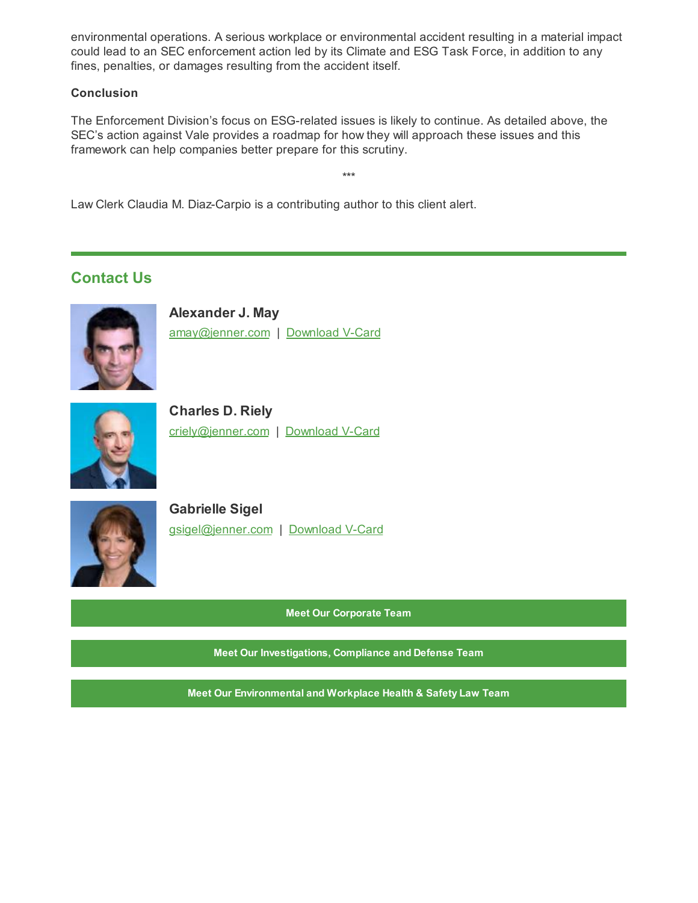environmental operations. A serious workplace or environmental accident resulting in a material impact could lead to an SEC enforcement action led by its Climate and ESG Task Force, in addition to any fines, penalties, or damages resulting from the accident itself.

#### **Conclusion**

The Enforcement Division's focus on ESG-related issues is likely to continue. As detailed above, the SEC's action against Vale provides a roadmap for how they will approach these issues and this framework can help companies better prepare for this scrutiny.

\*\*\*

Law Clerk Claudia M. Diaz-Carpio is a contributing author to this client alert.

# **Contact Us**



**Alexander J. May** [amay@jenner.com](mailto:amay@jenner.com) | [Download](https://jenner.com/people/269/vcard) V-Card



**Charles D. Riely** [criely@jenner.com](mailto:criely@jenner.com) | [Download](https://jenner.com/people/1104/vcard) V-Card



**Gabrielle Sigel** [gsigel@jenner.com](mailto:gsigel@jenner.com) | [Download](https://jenner.com/people/279/vcard) V-Card

**Meet Our [Corporate](https://jenner.com/practices/107/attorneys) Team**

**Meet Our [Investigations,](https://jenner.com/practices/144/attorneys) Compliance and Defense Team**

**Meet Our [Environmental](https://jenner.com/practices/114/attorneys) and Workplace Health & Safety Law Team**